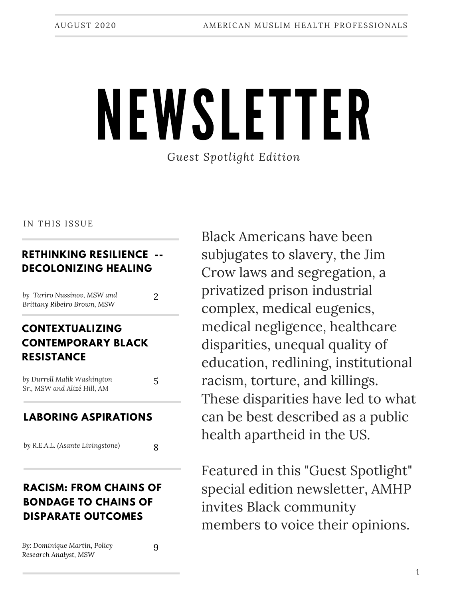# NEWSLETTER *Guest Spotlight Edition*

#### IN THIS ISSUE

#### **RETHINKING RESILIENCE -- DECOLONIZING HEALING**

| by Tariro Nussinov, MSW and |  |
|-----------------------------|--|
| Brittany Ribeiro Brown, MSW |  |

#### **CONTEXTUALIZING CONTEMPORARY BLACK RESISTANCE**

| by Durrell Malik Washington | 5 |  |
|-----------------------------|---|--|
| Sr., MSW and Alizé Hill, AM |   |  |

#### **LABORING ASPIRATIONS**

*by R.E.A.L. (Asante Livingstone)*

### **RACISM: FROM CHAINS OF BONDAGE TO CHAINS OF DISPARATE OUTCOMES**

*By: Dominique Martin, Policy Research Analyst, MSW*

9

8

Black Americans have been subjugates to slavery, the Jim Crow laws and segregation, a privatized prison industrial complex, medical eugenics, medical negligence, healthcare disparities, unequal quality of education, redlining, institutional racism, torture, and killings. These disparities have led to what can be best described as a public health apartheid in the US.

Featured in this "Guest Spotlight" special edition newsletter, AMHP invites Black community members to voice their opinions.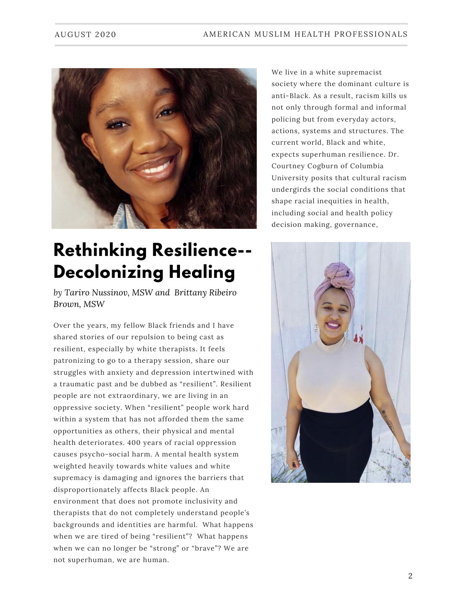

## **Rethinking Resilience-- Decolonizing Healing**

*by Tariro Nussinov, MSW and Brittany Ribeiro Brown, MSW*

Over the years, my fellow Black friends and I have shared stories of our repulsion to being cast as resilient, especially by white therapists. It feels patronizing to go to a therapy session, share our struggles with anxiety and depression intertwined with a traumatic past and be dubbed as "resilient". Resilient people are not extraordinary, we are living in an oppressive society. When "resilient" people work hard within a system that has not afforded them the same opportunities as others, their physical and mental health deteriorates. 400 years of racial oppression causes psycho-social harm. A mental health system weighted heavily towards white values and white supremacy is damaging and ignores the barriers that disproportionately affects Black people. An environment that does not promote inclusivity and therapists that do not completely understand people's backgrounds and identities are harmful. What happens when we are tired of being "resilient"? What happens when we can no longer be "strong" or "brave"? We are not superhuman, we are human.

We live in a white supremacist society where the dominant culture is anti-Black. As a result, racism kills us not only through formal and informal policing but from everyday actors, actions, systems and structures. The current world, Black and white, expects superhuman resilience. Dr. Courtney Cogburn of Columbia University posits that cultural racism undergirds the social conditions that shape racial inequities in health, including social and health policy decision making, governance,

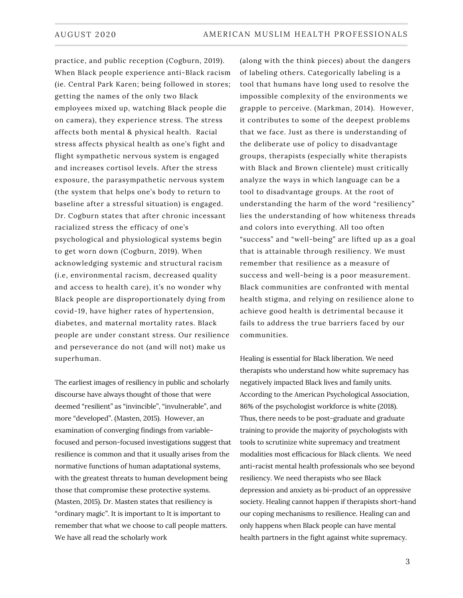practice, and public reception (Cogburn, 2019). When Black people experience anti-Black racism (ie. Central Park Karen; being followed in stores; getting the names of the only two Black employees mixed up, watching Black people die on camera), they experience stress. The stress affects both mental & physical health. Racial stress affects physical health as one's fight and flight sympathetic nervous system is engaged and increases cortisol levels. After the stress exposure, the parasympathetic nervous system (the system that helps one's body to return to baseline after a stressful situation) is engaged. Dr. Cogburn states that after chronic incessant racialized stress the efficacy of one's psychological and physiological systems begin to get worn down (Cogburn, 2019). When acknowledging systemic and structural racism (i.e, environmental racism, decreased quality and access to health care), it's no wonder why Black people are disproportionately dying from covid-19, have higher rates of hypertension, diabetes, and maternal mortality rates. Black people are under constant stress. Our resilience and perseverance do not (and will not) make us superhuman.

The earliest images of resiliency in public and scholarly discourse have always thought of those that were deemed "resilient" as "invincible", "invulnerable", and more "developed". (Masten, 2015). However, an examination of converging findings from variablefocused and person-focused investigations suggest that resilience is common and that it usually arises from the normative functions of human adaptational systems, with the greatest threats to human development being those that compromise these protective systems. (Masten, 2015). Dr. Masten states that resiliency is "ordinary magic". It is important to It is important to remember that what we choose to call people matters. We have all read the scholarly work

(along with the think pieces) about the dangers of labeling others. Categorically labeling is a tool that humans have long used to resolve the impossible complexity of the environments we grapple to perceive. (Markman, 2014). However, it contributes to some of the deepest problems that we face. Just as there is understanding of the deliberate use of policy to disadvantage groups, therapists (especially white therapists with Black and Brown clientele) must critically analyze the ways in which language can be a tool to disadvantage groups. At the root of understanding the harm of the word "resiliency" lies the understanding of how whiteness threads and colors into everything. All too often "success" and "well-being" are lifted up as a goal that is attainable through resiliency. We must remember that resilience as a measure of success and well-being is a poor measurement. Black communities are confronted with mental health stigma, and relying on resilience alone to achieve good health is detrimental because it fails to address the true barriers faced by our communities.

Healing is essential for Black liberation. We need therapists who understand how white supremacy has negatively impacted Black lives and family units. According to the American Psychological Association, 86% of the psychologist workforce is white (2018). Thus, there needs to be post-graduate and graduate training to provide the majority of psychologists with tools to scrutinize white supremacy and treatment modalities most efficacious for Black clients. We need anti-racist mental health professionals who see beyond resiliency. We need therapists who see Black depression and anxiety as bi-product of an oppressive society. Healing cannot happen if therapists short-hand our coping mechanisms to resilience. Healing can and only happens when Black people can have mental health partners in the fight against white supremacy.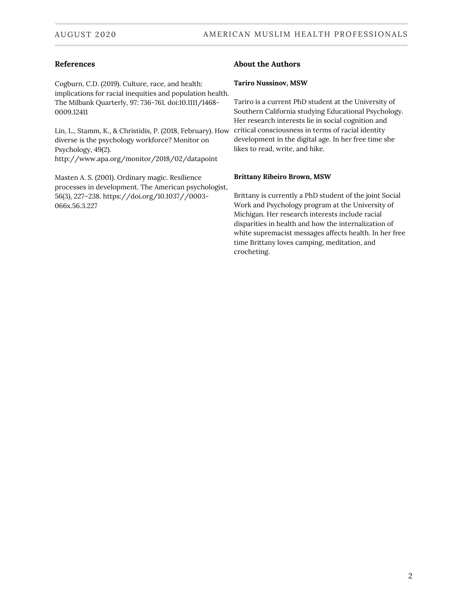#### **References**

Cogburn, C.D. (2019). Culture, race, and health: implications for racial inequities and population health. The Milbank Quarterly, 97: 736-761. doi:10.1111/1468- 0009.12411

Lin, L., Stamm, K., & Christidis, P. (2018, February). How diverse is the psychology workforce? Monitor on Psychology, 49(2). http://www.apa.org/monitor/2018/02/datapoint

Masten A. S. (2001). Ordinary magic. Resilience processes in development. The American psychologist, 56(3), 227–238. https://doi.org/10.1037//0003- 066x.56.3.227

#### **About the Authors**

#### **Tariro Nussinov, MSW**

Tariro is a current PhD student at the University of Southern California studying Educational Psychology. Her research interests lie in social cognition and critical consciousness in terms of racial identity development in the digital age. In her free time she likes to read, write, and hike.

#### **Brittany Ribeiro Brown, MSW**

Brittany is currently a PhD student of the joint Social Work and Psychology program at the University of Michigan. Her research interests include racial disparities in health and how the internalization of white supremacist messages affects health. In her free time Brittany loves camping, meditation, and crocheting.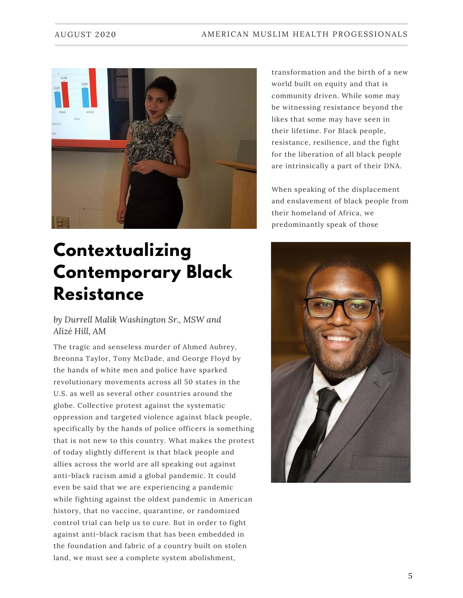

### **Contextualizing Contemporary Black Resistance**

*by Durrell Malik Washington Sr., MSW and Alizé Hill, AM*

The tragic and senseless murder of Ahmed Aubrey, Breonna Taylor, Tony McDade, and George Floyd by the hands of white men and police have sparked revolutionary movements across all 50 states in the U.S. as well as several other countries around the globe. Collective protest against the systematic oppression and targeted violence against black people, specifically by the hands of police officers is something that is not new to this country. What makes the protest of today slightly different is that black people and allies across the world are all speaking out against anti-black racism amid a global pandemic. It could even be said that we are experiencing a pandemic while fighting against the oldest pandemic in American history, that no vaccine, quarantine, or randomized control trial can help us to cure. But in order to fight against anti-black racism that has been embedded in the foundation and fabric of a country built on stolen land, we must see a complete system abolishment,

transformation and the birth of a new world built on equity and that is community driven. While some may be witnessing resistance beyond the likes that some may have seen in their lifetime. For Black people, resistance, resilience, and the fight for the liberation of all black people are intrinsically a part of their DNA.

When speaking of the displacement and enslavement of black people from their homeland of Africa, we predominantly speak of those

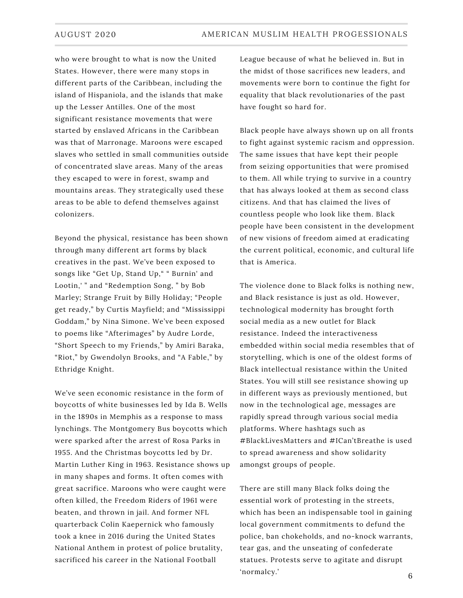who were brought to what is now the United States. However, there were many stops in different parts of the Caribbean, including the island of Hispaniola, and the islands that make up the Lesser Antilles. One of the most significant resistance movements that were started by enslaved Africans in the Caribbean was that of Marronage. Maroons were escaped slaves who settled in small communities outside of concentrated slave areas. Many of the areas they escaped to were in forest, swamp and mountains areas. They strategically used these areas to be able to defend themselves against colonizers.

Beyond the physical, resistance has been shown through many different art forms by black creatives in the past. We've been exposed to songs like "Get Up, Stand Up," " Burnin' and Lootin,' " and "Redemption Song, " by Bob Marley; Strange Fruit by Billy Holiday; "People get ready," by Curtis Mayfield; and "Mississippi Goddam," by Nina Simone. We've been exposed to poems like "Afterimages" by Audre Lorde, "Short Speech to my Friends," by Amiri Baraka, "Riot," by Gwendolyn Brooks, and "A Fable," by Ethridge Knight.

We've seen economic resistance in the form of boycotts of white businesses led by Ida B. Wells in the 1890s in Memphis as a response to mass lynchings. The Montgomery Bus boycotts which were sparked after the arrest of Rosa Parks in 1955. And the Christmas boycotts led by Dr. Martin Luther King in 1963. Resistance shows up in many shapes and forms. It often comes with great sacrifice. Maroons who were caught were often killed, the Freedom Riders of 1961 were beaten, and thrown in jail. And former NFL quarterback Colin Kaepernick who famously took a knee in 2016 during the United States National Anthem in protest of police brutality, sacrificed his career in the National Football

League because of what he believed in. But in the midst of those sacrifices new leaders, and movements were born to continue the fight for equality that black revolutionaries of the past have fought so hard for.

Black people have always shown up on all fronts to fight against systemic racism and oppression. The same issues that have kept their people from seizing opportunities that were promised to them. All while trying to survive in a country that has always looked at them as second class citizens. And that has claimed the lives of countless people who look like them. Black people have been consistent in the development of new visions of freedom aimed at eradicating the current political, economic, and cultural life that is America.

The violence done to Black folks is nothing new, and Black resistance is just as old. However, technological modernity has brought forth social media as a new outlet for Black resistance. Indeed the interactiveness embedded within social media resembles that of storytelling, which is one of the oldest forms of Black intellectual resistance within the United States. You will still see resistance showing up in different ways as previously mentioned, but now in the technological age, messages are rapidly spread through various social media platforms. Where hashtags such as #BlackLivesMatters and #ICan'tBreathe is used to spread awareness and show solidarity amongst groups of people.

There are still many Black folks doing the essential work of protesting in the streets, which has been an indispensable tool in gaining local government commitments to defund the police, ban chokeholds, and no-knock warrants, tear gas, and the unseating of confederate statues. Protests serve to agitate and disrupt 'normalcy.'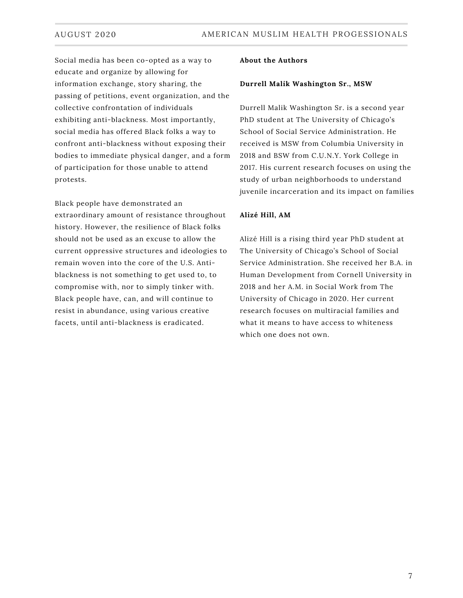Social media has been co-opted as a way to educate and organize by allowing for information exchange, story sharing, the passing of petitions, event organization, and the collective confrontation of individuals exhibiting anti-blackness. Most importantly, social media has offered Black folks a way to confront anti-blackness without exposing their bodies to immediate physical danger, and a form of participation for those unable to attend protests.

Black people have demonstrated an extraordinary amount of resistance throughout history. However, the resilience of Black folks should not be used as an excuse to allow the current oppressive structures and ideologies to remain woven into the core of the U.S. Antiblackness is not something to get used to, to compromise with, nor to simply tinker with. Black people have, can, and will continue to resist in abundance, using various creative facets, until anti-blackness is eradicated.

#### **About the Authors**

#### **Durrell Malik Washington Sr., MSW**

Durrell Malik Washington Sr. is a second year PhD student at The University of Chicago's School of Social Service Administration. He received is MSW from Columbia University in 2018 and BSW from C.U.N.Y. York College in 2017. His current research focuses on using the study of urban neighborhoods to understand juvenile incarceration and its impact on families

#### **Alizé Hill, AM**

Alizé Hill is a rising third year PhD student at The University of Chicago's School of Social Service Administration. She received her B.A. in Human Development from Cornell University in 2018 and her A.M. in Social Work from The University of Chicago in 2020. Her current research focuses on multiracial families and what it means to have access to whiteness which one does not own.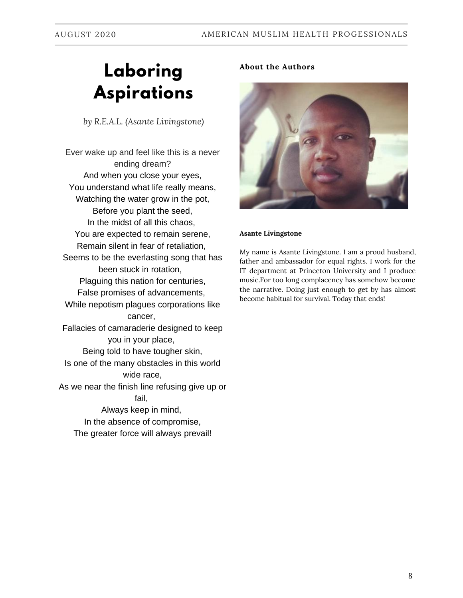## **Laboring Aspirations**

*by R.E.A.L. (Asante Livingstone)*

Ever wake up and feel like this is a never ending dream? And when you close your eyes, You understand what life really means, Watching the water grow in the pot, Before you plant the seed, In the midst of all this chaos, You are expected to remain serene, Remain silent in fear of retaliation, Seems to be the everlasting song that has been stuck in rotation, Plaguing this nation for centuries, False promises of advancements, While nepotism plagues corporations like cancer, Fallacies of camaraderie designed to keep you in your place, Being told to have tougher skin, Is one of the many obstacles in this world wide race, As we near the finish line refusing give up or fail, Always keep in mind, In the absence of compromise, The greater force will always prevail!

#### **About the Authors**



#### **Asante Livingstone**

My name is Asante Livingstone. I am a proud husband, father and ambassador for equal rights. I work for the IT department at Princeton University and I produce music.For too long complacency has somehow become the narrative. Doing just enough to get by has almost become habitual for survival. Today that ends!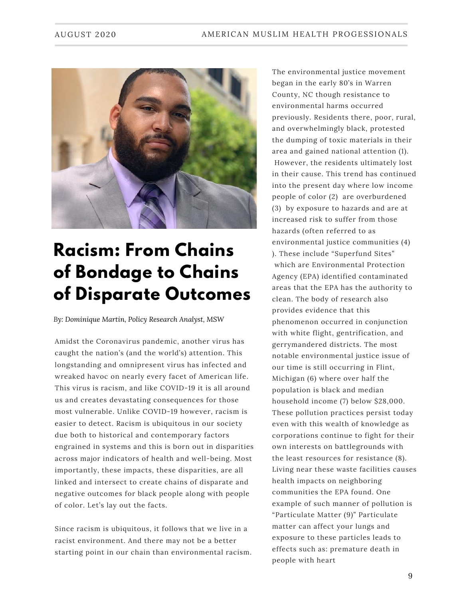

### **Racism: From Chains of Bondage to Chains of Disparate Outcomes**

*By: Dominique Martin, Policy Research Analyst, MSW*

Amidst the Coronavirus pandemic, another virus has caught the nation's (and the world's) attention. This longstanding and omnipresent virus has infected and wreaked havoc on nearly every facet of American life. This virus is racism, and like COVID-19 it is all around us and creates devastating consequences for those most vulnerable. Unlike COVID-19 however, racism is easier to detect. Racism is ubiquitous in our society due both to historical and contemporary factors engrained in systems and this is born out in disparities across major indicators of health and well-being. Most importantly, these impacts, these disparities, are all linked and intersect to create chains of disparate and negative outcomes for black people along with people of color. Let's lay out the facts.

Since racism is ubiquitous, it follows that we live in a racist environment. And there may not be a better starting point in our chain than environmental racism. The environmental justice movement began in the early 80's in Warren County, NC though resistance to environmental harms occurred previously. Residents there, poor, rural, and overwhelmingly black, protested the dumping of toxic materials in their area and gained national attention (1). However, the residents ultimately lost in their cause. This trend has continued into the present day where low income people of color (2) are overburdened (3) by exposure to hazards and are at increased risk to suffer from those hazards (often referred to as environmental justice communities (4) ). These include "Superfund Sites" which are Environmental Protection Agency (EPA) identified contaminated areas that the EPA has the authority to clean. The body of research also provides evidence that this phenomenon occurred in conjunction with white flight, gentrification, and gerrymandered districts. The most notable environmental justice issue of our time is still occurring in Flint, Michigan (6) where over half the population is black and median household income (7) below \$28,000. These pollution practices persist today even with this wealth of knowledge as corporations continue to fight for their own interests on battlegrounds with the least resources for resistance (8). Living near these waste facilities causes health impacts on neighboring communities the EPA found. One example of such manner of pollution is "Particulate Matter (9)" Particulate matter can affect your lungs and exposure to these particles leads to effects such as: premature death in people with heart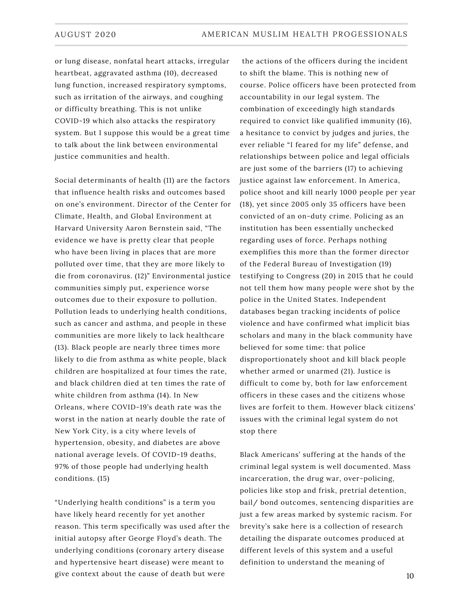or lung disease, nonfatal heart attacks, irregular heartbeat, aggravated asthma (10), decreased lung function, increased respiratory symptoms, such as irritation of the airways, and coughing or difficulty breathing. This is not unlike COVID-19 which also attacks the respiratory system. But I suppose this would be a great time to talk about the link between environmental justice communities and health.

Social determinants of health (11) are the factors that influence health risks and outcomes based on one's environment. Director of the Center for Climate, Health, and Global Environment at Harvard University Aaron Bernstein said, "The evidence we have is pretty clear that people who have been living in places that are more polluted over time, that they are more likely to die from coronavirus. (12)" Environmental justice communities simply put, experience worse outcomes due to their exposure to pollution. Pollution leads to underlying health conditions, such as cancer and asthma, and people in these communities are more likely to lack healthcare (13). Black people are nearly three times more likely to die from asthma as white people, black children are hospitalized at four times the rate, and black children died at ten times the rate of white children from asthma (14). In New Orleans, where COVID-19's death rate was the worst in the nation at nearly double the rate of New York City, is a city where levels of hypertension, obesity, and diabetes are above national average levels. Of COVID-19 deaths, 97% of those people had underlying health conditions. (15)

"Underlying health conditions" is a term you have likely heard recently for yet another reason. This term specifically was used after the initial autopsy after George Floyd's death. The underlying conditions (coronary artery disease and hypertensive heart disease) were meant to give context about the cause of death but were

the actions of the officers during the incident to shift the blame. This is nothing new of course. Police officers have been protected from accountability in our legal system. The combination of exceedingly high standards required to convict like qualified immunity (16), a hesitance to convict by judges and juries, the ever reliable "I feared for my life" defense, and relationships between police and legal officials are just some of the barriers (17) to achieving justice against law enforcement. In America, police shoot and kill nearly 1000 people per year (18), yet since 2005 only 35 officers have been convicted of an on-duty crime. Policing as an institution has been essentially unchecked regarding uses of force. Perhaps nothing exemplifies this more than the former director of the Federal Bureau of Investigation (19) testifying to Congress (20) in 2015 that he could not tell them how many people were shot by the police in the United States. Independent databases began tracking incidents of police violence and have confirmed what implicit bias scholars and many in the black community have believed for some time: that police disproportionately shoot and kill black people whether armed or unarmed (21). Justice is difficult to come by, both for law enforcement officers in these cases and the citizens whose lives are forfeit to them. However black citizens' issues with the criminal legal system do not stop there

Black Americans' suffering at the hands of the criminal legal system is well documented. Mass incarceration, the drug war, over-policing, policies like stop and frisk, pretrial detention, bail/ bond outcomes, sentencing disparities are just a few areas marked by systemic racism. For brevity's sake here is a collection of research detailing the disparate outcomes produced at different levels of this system and a useful definition to understand the meaning of